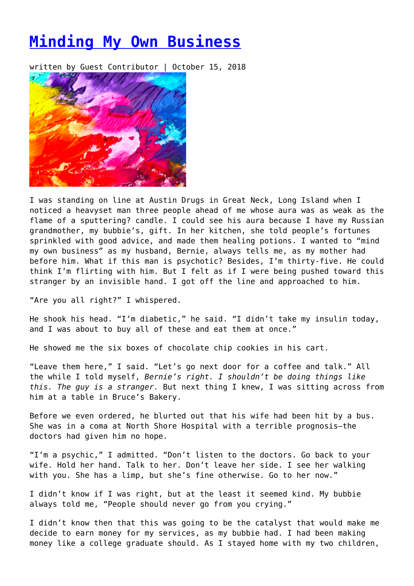## **[Minding My Own Business](https://entropymag.org/minding-my-own-business/)**

written by Guest Contributor | October 15, 2018



I was standing on line at Austin Drugs in Great Neck, Long Island when I noticed a heavyset man three people ahead of me whose aura was as weak as the flame of a sputtering? candle. I could see his aura because I have my Russian grandmother, my bubbie's, gift. In her kitchen, she told people's fortunes sprinkled with good advice, and made them healing potions. I wanted to "mind my own business" as my husband, Bernie, always tells me, as my mother had before him. What if this man is psychotic? Besides, I'm thirty-five. He could think I'm flirting with him. But I felt as if I were being pushed toward this stranger by an invisible hand. I got off the line and approached to him.

"Are you all right?" I whispered.

He shook his head. "I'm diabetic," he said. "I didn't take my insulin today, and I was about to buy all of these and eat them at once."

He showed me the six boxes of chocolate chip cookies in his cart.

"Leave them here," I said. "Let's go next door for a coffee and talk." All the while I told myself, *Bernie's right. I shouldn't be doing things like this. The guy is a stranger.* But next thing I knew, I was sitting across from him at a table in Bruce's Bakery.

Before we even ordered, he blurted out that his wife had been hit by a bus. She was in a coma at North Shore Hospital with a terrible prognosis–the doctors had given him no hope.

"I'm a psychic," I admitted. "Don't listen to the doctors. Go back to your wife. Hold her hand. Talk to her. Don't leave her side. I see her walking with you. She has a limp, but she's fine otherwise. Go to her now."

I didn't know if I was right, but at the least it seemed kind. My bubbie always told me, "People should never go from you crying."

I didn't know then that this was going to be the catalyst that would make me decide to earn money for my services, as my bubbie had. I had been making money like a college graduate should. As I stayed home with my two children,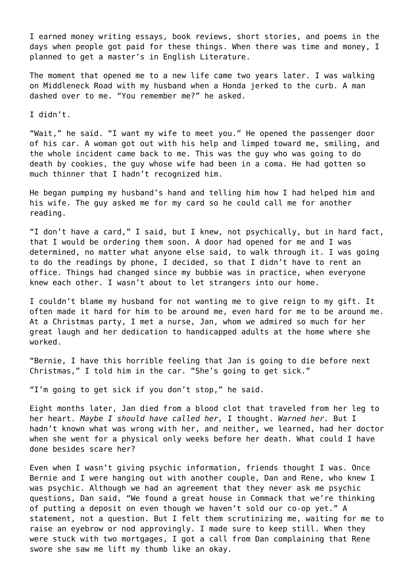I earned money writing essays, book reviews, short stories, and poems in the days when people got paid for these things. When there was time and money, I planned to get a master's in English Literature.

The moment that opened me to a new life came two years later. I was walking on Middleneck Road with my husband when a Honda jerked to the curb. A man dashed over to me. "You remember me?" he asked.

I didn't.

"Wait," he said. "I want my wife to meet you." He opened the passenger door of his car. A woman got out with his help and limped toward me, smiling, and the whole incident came back to me. This was the guy who was going to do death by cookies, the guy whose wife had been in a coma. He had gotten so much thinner that I hadn't recognized him.

He began pumping my husband's hand and telling him how I had helped him and his wife. The guy asked me for my card so he could call me for another reading.

"I don't have a card," I said, but I knew, not psychically, but in hard fact, that I would be ordering them soon. A door had opened for me and I was determined, no matter what anyone else said, to walk through it. I was going to do the readings by phone, I decided, so that I didn't have to rent an office. Things had changed since my bubbie was in practice, when everyone knew each other. I wasn't about to let strangers into our home.

I couldn't blame my husband for not wanting me to give reign to my gift. It often made it hard for him to be around me, even hard for me to be around me. At a Christmas party, I met a nurse, Jan, whom we admired so much for her great laugh and her dedication to handicapped adults at the home where she worked.

"Bernie, I have this horrible feeling that Jan is going to die before next Christmas," I told him in the car. "She's going to get sick."

"I'm going to get sick if you don't stop," he said.

Eight months later, Jan died from a blood clot that traveled from her leg to her heart. *Maybe I should have called her,* I thought. *Warned her.* But I hadn't known what was wrong with her, and neither, we learned, had her doctor when she went for a physical only weeks before her death. What could I have done besides scare her?

Even when I wasn't giving psychic information, friends thought I was. Once Bernie and I were hanging out with another couple, Dan and Rene, who knew I was psychic. Although we had an agreement that they never ask me psychic questions, Dan said, "We found a great house in Commack that we're thinking of putting a deposit on even though we haven't sold our co-op yet." A statement, not a question. But I felt them scrutinizing me, waiting for me to raise an eyebrow or nod approvingly. I made sure to keep still. When they were stuck with two mortgages, I got a call from Dan complaining that Rene swore she saw me lift my thumb like an okay.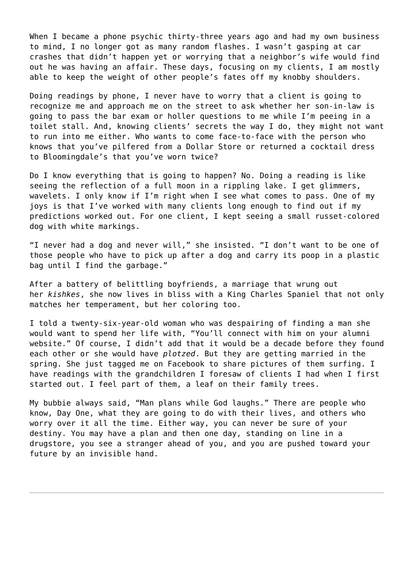When I became a phone psychic thirty-three years ago and had my own business to mind, I no longer got as many random flashes. I wasn't gasping at car crashes that didn't happen yet or worrying that a neighbor's wife would find out he was having an affair. These days, focusing on my clients, I am mostly able to keep the weight of other people's fates off my knobby shoulders.

Doing readings by phone, I never have to worry that a client is going to recognize me and approach me on the street to ask whether her son-in-law is going to pass the bar exam or holler questions to me while I'm peeing in a toilet stall. And, knowing clients' secrets the way I do, they might not want to run into me either. Who wants to come face-to-face with the person who knows that you've pilfered from a Dollar Store or returned a cocktail dress to Bloomingdale's that you've worn twice?

Do I know everything that is going to happen? No. Doing a reading is like seeing the reflection of a full moon in a rippling lake. I get glimmers, wavelets. I only know if I'm right when I see what comes to pass. One of my joys is that I've worked with many clients long enough to find out if my predictions worked out. For one client, I kept seeing a small russet-colored dog with white markings.

"I never had a dog and never will," she insisted. "I don't want to be one of those people who have to pick up after a dog and carry its poop in a plastic bag until I find the garbage."

After a battery of belittling boyfriends, a marriage that wrung out her *kishkes*, she now lives in bliss with a King Charles Spaniel that not only matches her temperament, but her coloring too.

I told a twenty-six-year-old woman who was despairing of finding a man she would want to spend her life with, "You'll connect with him on your alumni website." Of course, I didn't add that it would be a decade before they found each other or she would have *plotzed*. But they are getting married in the spring. She just tagged me on Facebook to share pictures of them surfing. I have readings with the grandchildren I foresaw of clients I had when I first started out. I feel part of them, a leaf on their family trees.

My bubbie always said, "Man plans while God laughs." There are people who know, Day One, what they are going to do with their lives, and others who worry over it all the time. Either way, you can never be sure of your destiny. You may have a plan and then one day, standing on line in a drugstore, you see a stranger ahead of you, and you are pushed toward your future by an invisible hand.